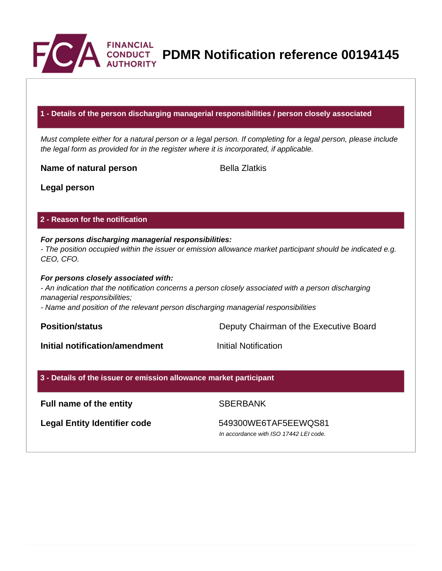

**PDMR Notification reference 00194145**

### **1 - Details of the person discharging managerial responsibilities / person closely associated**

Must complete either for a natural person or a legal person. If completing for a legal person, please include the legal form as provided for in the register where it is incorporated, if applicable.

**Name of natural person** Bella Zlatkis

**Legal person**

## **2 - Reason for the notification**

## **For persons discharging managerial responsibilities:**

- The position occupied within the issuer or emission allowance market participant should be indicated e.g. CEO, CFO.

## **For persons closely associated with:**

- An indication that the notification concerns a person closely associated with a person discharging managerial responsibilities;

- Name and position of the relevant person discharging managerial responsibilities

**Position/status Position/status Deputy Chairman of the Executive Board** 

**Initial notification/amendment Initial Notification** 

## **3 - Details of the issuer or emission allowance market participant**

# **Full name of the entity** SBERBANK

**Legal Entity Identifier code** 549300WE6TAF5EEWQS81

In accordance with ISO 17442 LEI code.